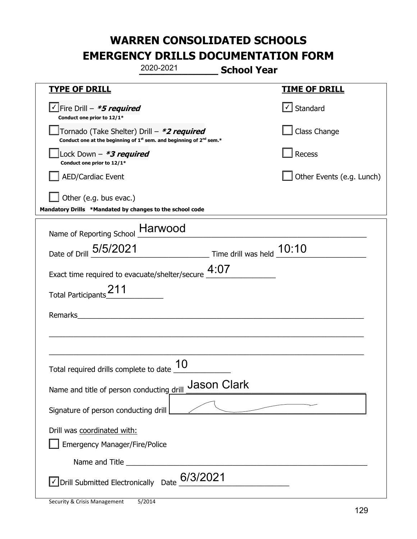|                                                                                                                                           | 2020-2021                 | <b>School Year</b> |                                   |
|-------------------------------------------------------------------------------------------------------------------------------------------|---------------------------|--------------------|-----------------------------------|
| <u>TYPE OF DRILL</u>                                                                                                                      |                           |                    | <b>TIME OF DRILL</b>              |
| √Fire Drill – <b>*5 required</b><br>Conduct one prior to 12/1*                                                                            |                           |                    | $\lfloor \angle \rfloor$ Standard |
| Tornado (Take Shelter) Drill – *2 required<br>Conduct one at the beginning of 1 <sup>st</sup> sem. and beginning of 2 <sup>nd</sup> sem.* |                           |                    | Class Change                      |
| Lock Down $-$ *3 required<br>Conduct one prior to 12/1*                                                                                   |                           |                    | Recess                            |
| <b>AED/Cardiac Event</b>                                                                                                                  |                           |                    | Other Events (e.g. Lunch)         |
| Other (e.g. bus evac.)<br>Mandatory Drills *Mandated by changes to the school code                                                        |                           |                    |                                   |
| Name of Reporting School Harwood                                                                                                          |                           |                    |                                   |
| Date of Drill 5/5/2021                                                                                                                    | Time drill was held 10:10 |                    |                                   |
| Exact time required to evacuate/shelter/secure $4:07$                                                                                     |                           |                    |                                   |
| <b>Total Participants</b>                                                                                                                 |                           |                    |                                   |
| Remarks                                                                                                                                   |                           |                    |                                   |
|                                                                                                                                           |                           |                    |                                   |
| Total required drills complete to date $\frac{10}{10}$                                                                                    |                           |                    |                                   |
| Name and title of person conducting drill                                                                                                 |                           | <b>Jason Clark</b> |                                   |
| Signature of person conducting drill                                                                                                      |                           |                    |                                   |
| Drill was coordinated with:<br><b>Emergency Manager/Fire/Police</b>                                                                       |                           |                    |                                   |
|                                                                                                                                           |                           |                    |                                   |
| Oprill Submitted Electronically Date 6/3/2021                                                                                             |                           |                    |                                   |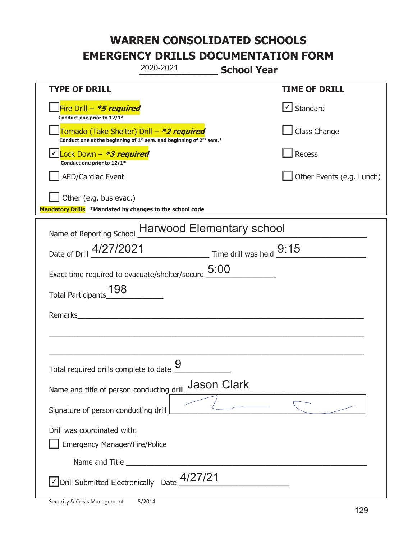|                                                                                    | 2020-2021                                                                                   | <b>School Year</b> |                                   |
|------------------------------------------------------------------------------------|---------------------------------------------------------------------------------------------|--------------------|-----------------------------------|
| <b>TYPE OF DRILL</b>                                                               |                                                                                             |                    | <u>TIME OF DRILL</u>              |
| Fire Drill - *5 required<br>Conduct one prior to 12/1*                             |                                                                                             |                    | $\lfloor \angle \rfloor$ Standard |
| Tornado (Take Shelter) Drill – *2 required                                         | Conduct one at the beginning of 1 <sup>st</sup> sem. and beginning of 2 <sup>nd</sup> sem.* |                    | Class Change                      |
| Lock Down - *3 required<br>Conduct one prior to 12/1*                              |                                                                                             |                    | Recess                            |
| AED/Cardiac Event                                                                  |                                                                                             |                    | Other Events (e.g. Lunch)         |
| Other (e.g. bus evac.)<br>Mandatory Drills *Mandated by changes to the school code |                                                                                             |                    |                                   |
| Name of Reporting School Harwood Elementary school                                 |                                                                                             |                    |                                   |
| Date of Drill 4/27/2021 Time drill was held 9:15                                   |                                                                                             |                    |                                   |
| Exact time required to evacuate/shelter/secure $\underline{5:00}$                  |                                                                                             |                    |                                   |
| Total Participants_198                                                             |                                                                                             |                    |                                   |
| Remarks                                                                            |                                                                                             |                    |                                   |
|                                                                                    |                                                                                             |                    |                                   |
| Total required drills complete to date                                             | $\mathsf Q$                                                                                 |                    |                                   |
| Name and title of person conducting drill                                          |                                                                                             | <b>Jason Clark</b> |                                   |
| Signature of person conducting drill                                               |                                                                                             |                    |                                   |
| Drill was coordinated with:<br><b>Emergency Manager/Fire/Police</b>                |                                                                                             |                    |                                   |
|                                                                                    |                                                                                             |                    |                                   |
| √ Drill Submitted Electronically Date                                              | 4/27/21                                                                                     |                    |                                   |

I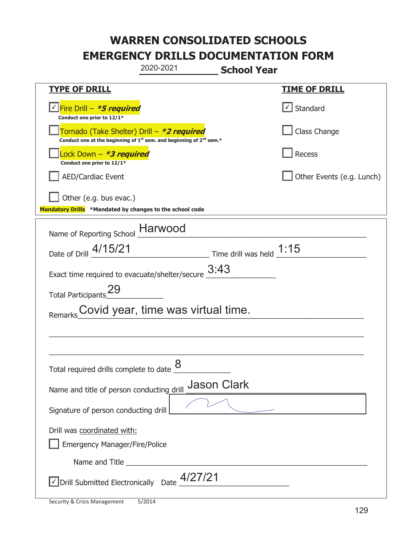|                                                                                                                                           | 2020-2021                          | <b>School Year</b>         |                           |
|-------------------------------------------------------------------------------------------------------------------------------------------|------------------------------------|----------------------------|---------------------------|
| <b>TYPE OF DRILL</b>                                                                                                                      |                                    |                            | <u>TIME OF DRILL</u>      |
| Fire Drill – <i>*<b>5 required</b></i><br>Conduct one prior to 12/1*                                                                      |                                    |                            | √ Standard                |
| Tornado (Take Shelter) Drill – *2 required<br>Conduct one at the beginning of 1 <sup>st</sup> sem. and beginning of 2 <sup>nd</sup> sem.* |                                    |                            | Class Change              |
| Lock Down – <i>*<b>3 required</b></i><br>Conduct one prior to 12/1*                                                                       |                                    |                            | Recess                    |
| <b>AED/Cardiac Event</b>                                                                                                                  |                                    |                            | Other Events (e.g. Lunch) |
| Other (e.g. bus evac.)<br>Mandatory Drills *Mandated by changes to the school code                                                        |                                    |                            |                           |
| Name of Reporting School _Harwood                                                                                                         |                                    |                            |                           |
| Date of Drill 4/15/21                                                                                                                     |                                    | Time drill was held $1:15$ |                           |
| Exact time required to evacuate/shelter/secure                                                                                            |                                    | 3:43                       |                           |
| Total Participants <sup>29</sup>                                                                                                          |                                    |                            |                           |
| Remarks                                                                                                                                   | Covid year, time was virtual time. |                            |                           |
|                                                                                                                                           |                                    |                            |                           |
|                                                                                                                                           |                                    |                            |                           |
| Total required drills complete to date $\underline{\mathcal{8}}$                                                                          |                                    |                            |                           |
| Name and title of person conducting drill                                                                                                 |                                    | <b>Jason Clark</b>         |                           |
| Signature of person conducting drill                                                                                                      |                                    |                            |                           |
| Drill was coordinated with:                                                                                                               |                                    |                            |                           |
| <b>Emergency Manager/Fire/Police</b>                                                                                                      |                                    |                            |                           |
|                                                                                                                                           |                                    |                            |                           |
| $\vee$ Drill Submitted Electronically Date $\frac{4}{27/21}$                                                                              |                                    |                            |                           |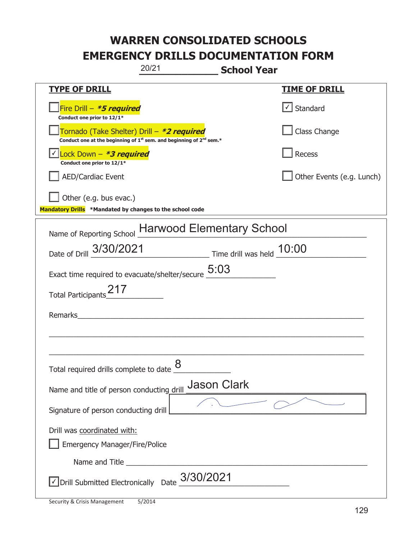|                                                                                    | 20/21<br><b>School Year</b>                                                                 |                           |
|------------------------------------------------------------------------------------|---------------------------------------------------------------------------------------------|---------------------------|
| <u>TYPE OF DRILL</u>                                                               |                                                                                             | <b>TIME OF DRILL</b>      |
| Fire Drill - *5 required<br>Conduct one prior to 12/1*                             |                                                                                             | Standard                  |
| Tornado (Take Shelter) Drill – *2 required                                         | Conduct one at the beginning of 1 <sup>st</sup> sem. and beginning of 2 <sup>nd</sup> sem.* | Class Change              |
| Lock Down - *3 required<br>Conduct one prior to 12/1*                              |                                                                                             | <b>Recess</b>             |
| <b>AED/Cardiac Event</b>                                                           |                                                                                             | Other Events (e.g. Lunch) |
| Other (e.g. bus evac.)<br>Mandatory Drills *Mandated by changes to the school code |                                                                                             |                           |
|                                                                                    | Name of Reporting School Harwood Elementary School                                          |                           |
|                                                                                    | Date of Drill 3/30/2021 Time drill was held 10:00                                           |                           |
|                                                                                    | Exact time required to evacuate/shelter/secure $\underline{5:03}$                           |                           |
| Total Participants 217                                                             |                                                                                             |                           |
| Remarks                                                                            |                                                                                             |                           |
|                                                                                    |                                                                                             |                           |
| Total required drills complete to date $\underline{\mathcal{8}}$                   |                                                                                             |                           |
| Name and title of person conducting drill                                          | <b>Jason Clark</b>                                                                          |                           |
| Signature of person conducting drill                                               |                                                                                             |                           |
| Drill was coordinated with:<br><b>Emergency Manager/Fire/Police</b>                |                                                                                             |                           |
|                                                                                    |                                                                                             |                           |
|                                                                                    | $\vee$ Drill Submitted Electronically Date $\_3/30/2021$                                    |                           |

T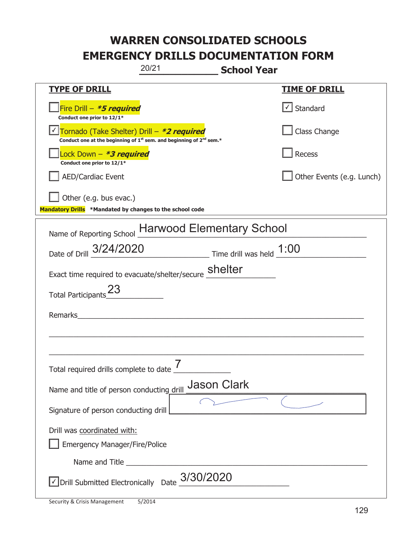| 20/21<br><b>School Year</b>                                                                                                               |                           |
|-------------------------------------------------------------------------------------------------------------------------------------------|---------------------------|
| <b>TYPE OF DRILL</b>                                                                                                                      | <b>TIME OF DRILL</b>      |
| Fire Drill - *5 required<br>Conduct one prior to 12/1*                                                                                    | √ Standard                |
| Tornado (Take Shelter) Drill - *2 required<br>Conduct one at the beginning of 1 <sup>st</sup> sem. and beginning of 2 <sup>nd</sup> sem.* | Class Change              |
| Lock Down - <b><i>*3 required</i></b><br>Conduct one prior to 12/1*                                                                       | Recess                    |
| <b>AED/Cardiac Event</b>                                                                                                                  | Other Events (e.g. Lunch) |
| Other (e.g. bus evac.)<br>Mandatory Drills *Mandated by changes to the school code                                                        |                           |
| Name of Reporting School Harwood Elementary School                                                                                        |                           |
| Date of Drill 3/24/2020 Time drill was held 1:00                                                                                          |                           |
| Exact time required to evacuate/shelter/secure <b>Shelter</b>                                                                             |                           |
| Total Participants <sup>23</sup>                                                                                                          |                           |
| Remarks                                                                                                                                   |                           |
|                                                                                                                                           |                           |
| 7<br>Total required drills complete to date                                                                                               |                           |
| <b>Jason Clark</b><br>Name and title of person conducting drill                                                                           |                           |
| Signature of person conducting drill                                                                                                      |                           |
| Drill was coordinated with:<br><b>Emergency Manager/Fire/Police</b>                                                                       |                           |
|                                                                                                                                           |                           |
| $\sqrt{\phantom{a}}$ Drill Submitted Electronically Date $\frac{3/30/2020}{\phantom{a}}$                                                  |                           |

T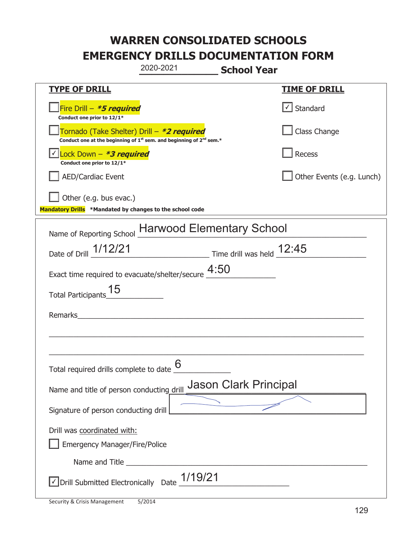|                                                                                    | 2020-2021                                                                     | <b>School Year</b>                                                          |                                |
|------------------------------------------------------------------------------------|-------------------------------------------------------------------------------|-----------------------------------------------------------------------------|--------------------------------|
| <b>TYPE OF DRILL</b>                                                               |                                                                               |                                                                             | <b>TIME OF DRILL</b>           |
| Fire Drill - *5 required<br>Conduct one prior to 12/1*                             |                                                                               |                                                                             | $\lvert \cdot \rvert$ Standard |
| Tornado (Take Shelter) Drill – *2 required                                         | Conduct one at the beginning of $1^{st}$ sem. and beginning of $2^{nd}$ sem.* |                                                                             | Class Change                   |
| Lock Down $-$ *3 required<br>Conduct one prior to 12/1*                            |                                                                               |                                                                             | Recess                         |
| <b>AED/Cardiac Event</b>                                                           |                                                                               |                                                                             | Other Events (e.g. Lunch)      |
| Other (e.g. bus evac.)<br>Mandatory Drills *Mandated by changes to the school code |                                                                               |                                                                             |                                |
| Name of Reporting School Harwood Elementary School                                 |                                                                               |                                                                             |                                |
| Date of Drill 1/12/21                                                              |                                                                               | $\frac{12.45}{\frac{1}{2}}$ Time drill was held $\frac{12.45}{\frac{1}{2}}$ |                                |
| Exact time required to evacuate/shelter/secure $4:50$                              |                                                                               |                                                                             |                                |
| Total Participants_                                                                |                                                                               |                                                                             |                                |
| Remarks                                                                            |                                                                               |                                                                             |                                |
|                                                                                    |                                                                               |                                                                             |                                |
| Total required drills complete to date $6$                                         |                                                                               |                                                                             |                                |
| Name and title of person conducting drill                                          |                                                                               | <b>Jason Clark Principal</b>                                                |                                |
| Signature of person conducting drill                                               |                                                                               |                                                                             |                                |
| Drill was coordinated with:<br><b>Emergency Manager/Fire/Police</b>                |                                                                               |                                                                             |                                |
|                                                                                    |                                                                               |                                                                             |                                |
| √ Drill Submitted Electronically Date                                              | 1/19/21                                                                       |                                                                             |                                |

t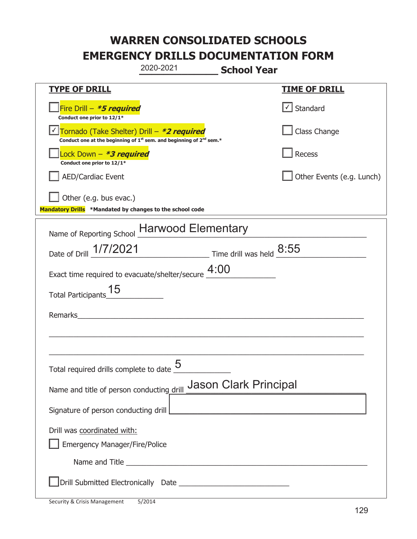|                                                                                    | 2020-2021                                                                                                                                                                                                                            | <b>School Year</b>           |                           |
|------------------------------------------------------------------------------------|--------------------------------------------------------------------------------------------------------------------------------------------------------------------------------------------------------------------------------------|------------------------------|---------------------------|
| <b>TYPE OF DRILL</b>                                                               |                                                                                                                                                                                                                                      |                              | <b>TIME OF DRILL</b>      |
| Fire Drill - <b>*5 required</b><br>Conduct one prior to 12/1*                      |                                                                                                                                                                                                                                      |                              | $\cup$ Standard           |
| Tornado (Take Shelter) Drill – *2 required                                         | Conduct one at the beginning of 1 <sup>st</sup> sem. and beginning of 2 <sup>nd</sup> sem.*                                                                                                                                          |                              | Class Change              |
| Lock Down - <b>*3 required</b><br>Conduct one prior to 12/1*                       |                                                                                                                                                                                                                                      |                              | Recess                    |
| <b>AED/Cardiac Event</b>                                                           |                                                                                                                                                                                                                                      |                              | Other Events (e.g. Lunch) |
| Other (e.g. bus evac.)<br>Mandatory Drills *Mandated by changes to the school code |                                                                                                                                                                                                                                      |                              |                           |
| Name of Reporting School Harwood Elementary                                        |                                                                                                                                                                                                                                      |                              |                           |
| Date of Drill 1/7/2021                                                             | $\frac{8:55}{\frac{3}{2}}$ Time drill was held $\frac{8:55}{\frac{3}{2}}$                                                                                                                                                            |                              |                           |
| Exact time required to evacuate/shelter/secure $4:00$                              |                                                                                                                                                                                                                                      |                              |                           |
| <b>Total Participants</b>                                                          |                                                                                                                                                                                                                                      |                              |                           |
| Remarks                                                                            |                                                                                                                                                                                                                                      |                              |                           |
|                                                                                    |                                                                                                                                                                                                                                      |                              |                           |
| Total required drills complete to date $\frac{9}{2}$                               | 5                                                                                                                                                                                                                                    |                              |                           |
| Name and title of person conducting drill                                          |                                                                                                                                                                                                                                      | <b>Jason Clark Principal</b> |                           |
| Signature of person conducting drill                                               |                                                                                                                                                                                                                                      |                              |                           |
| Drill was coordinated with:                                                        |                                                                                                                                                                                                                                      |                              |                           |
| <b>Emergency Manager/Fire/Police</b>                                               | Name and Title <b>contract the contract of the contract of the contract of the contract of the contract of the contract of the contract of the contract of the contract of the contract of the contract of the contract of the c</b> |                              |                           |
|                                                                                    |                                                                                                                                                                                                                                      |                              |                           |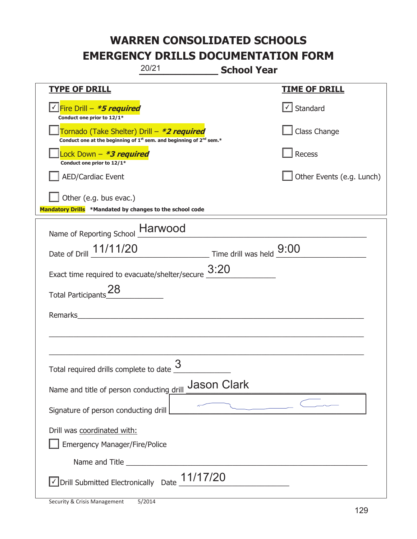|                                                                                    | 20/21                                                                                       | <b>School Year</b> |                           |
|------------------------------------------------------------------------------------|---------------------------------------------------------------------------------------------|--------------------|---------------------------|
| <b>TYPE OF DRILL</b>                                                               |                                                                                             |                    | <u>TIME OF DRILL</u>      |
| <u>√ Fire Drill – *5 required</u><br>Conduct one prior to 12/1*                    |                                                                                             |                    | √ Standard                |
| Tornado (Take Shelter) Drill – *2 required                                         | Conduct one at the beginning of 1 <sup>st</sup> sem. and beginning of 2 <sup>nd</sup> sem.* |                    | Class Change              |
| Lock Down - *3 required<br>Conduct one prior to 12/1*                              |                                                                                             |                    | Recess                    |
| <b>AED/Cardiac Event</b>                                                           |                                                                                             |                    | Other Events (e.g. Lunch) |
| Other (e.g. bus evac.)<br>Mandatory Drills *Mandated by changes to the school code |                                                                                             |                    |                           |
| Name of Reporting School Harwood                                                   |                                                                                             |                    |                           |
| Date of Drill 11/11/20                                                             | $\frac{9:00}{\frac{1}{2}}$ Time drill was held $\frac{9:00}{\frac{1}{2}}$                   |                    |                           |
| Exact time required to evacuate/shelter/secure $\underline{\hspace{1em}3:}20$      |                                                                                             |                    |                           |
| Total Participants <sup>28</sup>                                                   |                                                                                             |                    |                           |
| Remarks_                                                                           |                                                                                             |                    |                           |
|                                                                                    |                                                                                             |                    |                           |
| Total required drills complete to date $\frac{9}{2}$                               | 3                                                                                           |                    |                           |
| Name and title of person conducting drill                                          |                                                                                             | <b>Jason Clark</b> |                           |
| Signature of person conducting drill                                               |                                                                                             |                    |                           |
| Drill was coordinated with:<br><b>Emergency Manager/Fire/Police</b>                |                                                                                             |                    |                           |
|                                                                                    |                                                                                             |                    |                           |
| $\sqrt{2}$ Drill Submitted Electronically Date $\underline{11/17/20}$              |                                                                                             |                    |                           |

t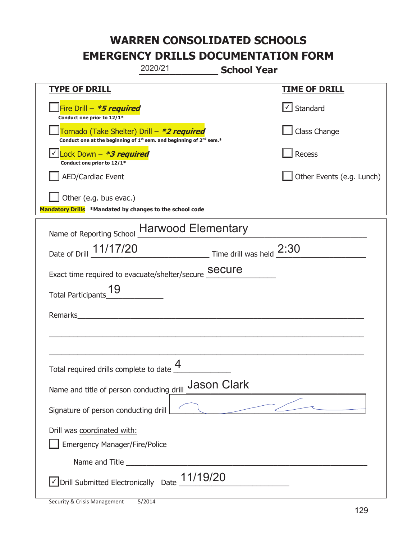|                                                                                            | 2020/21                                                                                     | <b>School Year</b>        |
|--------------------------------------------------------------------------------------------|---------------------------------------------------------------------------------------------|---------------------------|
| <b>TYPE OF DRILL</b>                                                                       |                                                                                             | <b>TIME OF DRILL</b>      |
| Fire Drill - <i>*<b>5 required</b></i><br>Conduct one prior to 12/1*                       |                                                                                             | $\cup$ Standard           |
| Tornado (Take Shelter) Drill – *2 required                                                 | Conduct one at the beginning of 1 <sup>st</sup> sem. and beginning of 2 <sup>nd</sup> sem.* | Class Change              |
| <u>√ Lock Down – <b>*3 required</b></u><br>Conduct one prior to 12/1*                      |                                                                                             | Recess                    |
| <b>AED/Cardiac Event</b>                                                                   |                                                                                             | Other Events (e.g. Lunch) |
| $\vert$ Other (e.g. bus evac.)<br>Mandatory Drills *Mandated by changes to the school code |                                                                                             |                           |
| Name of Reporting School Harwood Elementary                                                |                                                                                             |                           |
| Date of Drill 11/17/20                                                                     | $\frac{2:30}{2:30}$ Time drill was held $\frac{2:30}{2:30}$                                 |                           |
| Exact time required to evacuate/shelter/secure Secure                                      |                                                                                             |                           |
| <b>Total Participants</b>                                                                  |                                                                                             |                           |
| Remarks                                                                                    |                                                                                             |                           |
|                                                                                            |                                                                                             |                           |
|                                                                                            |                                                                                             |                           |
| Total required drills complete to date $\Box$                                              | $\boldsymbol{\varDelta}$                                                                    |                           |
| Name and title of person conducting drill                                                  | <b>Jason Clark</b>                                                                          |                           |
| Signature of person conducting drill                                                       |                                                                                             |                           |
| Drill was coordinated with:                                                                |                                                                                             |                           |
| <b>Emergency Manager/Fire/Police</b>                                                       |                                                                                             |                           |
|                                                                                            |                                                                                             |                           |
| √ Drill Submitted Electronically Date                                                      | 11/19/20                                                                                    |                           |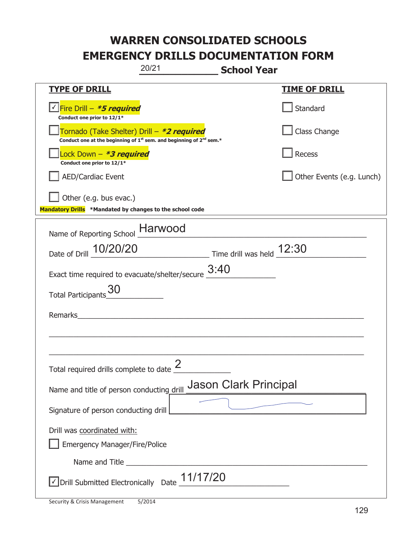|                                                                                            | 20/21                                                                                       | <b>School Year</b>                                      |                           |
|--------------------------------------------------------------------------------------------|---------------------------------------------------------------------------------------------|---------------------------------------------------------|---------------------------|
| <b>TYPE OF DRILL</b>                                                                       |                                                                                             |                                                         | <b>TIME OF DRILL</b>      |
| <u> √ Fire Drill – <i>*5 required</i></u><br>Conduct one prior to 12/1*                    |                                                                                             |                                                         | Standard                  |
| Tornado (Take Shelter) Drill – *2 required                                                 | Conduct one at the beginning of 1 <sup>st</sup> sem. and beginning of 2 <sup>nd</sup> sem.* |                                                         | Class Change              |
| Lock Down - *3 required<br>Conduct one prior to 12/1*                                      |                                                                                             |                                                         | Recess                    |
| <b>AED/Cardiac Event</b>                                                                   |                                                                                             |                                                         | Other Events (e.g. Lunch) |
| $\vert$ Other (e.g. bus evac.)<br>Mandatory Drills *Mandated by changes to the school code |                                                                                             |                                                         |                           |
| Name of Reporting School __ Harwood                                                        |                                                                                             |                                                         |                           |
| Date of Drill 10/20/20                                                                     |                                                                                             | $\frac{12:30}{2}$ Time drill was held $\frac{12:30}{2}$ |                           |
| Exact time required to evacuate/shelter/secure $\underline{\hspace{1em}3:}40$              |                                                                                             |                                                         |                           |
| <b>Total Participants</b>                                                                  |                                                                                             |                                                         |                           |
| <b>Remarks</b>                                                                             |                                                                                             |                                                         |                           |
|                                                                                            |                                                                                             |                                                         |                           |
|                                                                                            |                                                                                             |                                                         |                           |
| Total required drills complete to date $\leq$                                              | 2                                                                                           |                                                         |                           |
| Name and title of person conducting drill                                                  |                                                                                             | <b>Jason Clark Principal</b>                            |                           |
| Signature of person conducting drill                                                       |                                                                                             |                                                         |                           |
| Drill was coordinated with:                                                                |                                                                                             |                                                         |                           |
| <b>Emergency Manager/Fire/Police</b>                                                       |                                                                                             |                                                         |                           |
|                                                                                            |                                                                                             |                                                         |                           |
| $\sqrt{\frac{1}{17}}$ Drill Submitted Electronically Date $\frac{11}{17}$                  |                                                                                             |                                                         |                           |